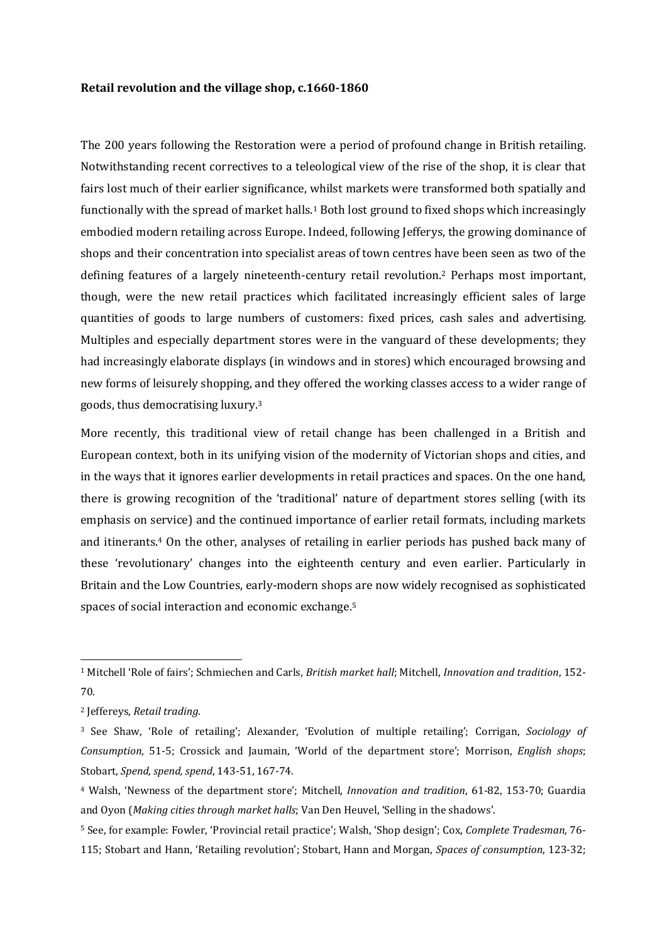## **Retail revolution and the village shop, c.1660-1860**

The 200 years following the Restoration were a period of profound change in British retailing. Notwithstanding recent correctives to a teleological view of the rise of the shop, it is clear that fairs lost much of their earlier significance, whilst markets were transformed both spatially and functionally with the spread of market halls.<sup>1</sup> Both lost ground to fixed shops which increasingly embodied modern retailing across Europe. Indeed, following Jefferys, the growing dominance of shops and their concentration into specialist areas of town centres have been seen as two of the defining features of a largely nineteenth-century retail revolution.<sup>2</sup> Perhaps most important, though, were the new retail practices which facilitated increasingly efficient sales of large quantities of goods to large numbers of customers: fixed prices, cash sales and advertising. Multiples and especially department stores were in the vanguard of these developments; they had increasingly elaborate displays (in windows and in stores) which encouraged browsing and new forms of leisurely shopping, and they offered the working classes access to a wider range of goods, thus democratising luxury.<sup>3</sup>

More recently, this traditional view of retail change has been challenged in a British and European context, both in its unifying vision of the modernity of Victorian shops and cities, and in the ways that it ignores earlier developments in retail practices and spaces. On the one hand, there is growing recognition of the 'traditional' nature of department stores selling (with its emphasis on service) and the continued importance of earlier retail formats, including markets and itinerants.<sup>4</sup> On the other, analyses of retailing in earlier periods has pushed back many of these 'revolutionary' changes into the eighteenth century and even earlier. Particularly in Britain and the Low Countries, early-modern shops are now widely recognised as sophisticated spaces of social interaction and economic exchange. 5

-

<sup>1</sup> Mitchell 'Role of fairs'; Schmiechen and Carls, *British market hall*; Mitchell, *Innovation and tradition*, 152- 70.

<sup>2</sup> Jeffereys, *Retail trading*.

<sup>3</sup> See Shaw, 'Role of retailing'; Alexander, 'Evolution of multiple retailing'; Corrigan, *Sociology of Consumption*, 51-5; Crossick and Jaumain, 'World of the department store'; Morrison, *English shops*; Stobart, *Spend, spend, spend*, 143-51, 167-74*.*

<sup>4</sup> Walsh, 'Newness of the department store'; Mitchell, *Innovation and tradition*, 61-82, 153-70; Guardia and Oyon (*Making cities through market halls*; Van Den Heuvel, 'Selling in the shadows'.

<sup>5</sup> See, for example: Fowler, 'Provincial retail practice'; Walsh, 'Shop design'; Cox, *Complete Tradesman*, 76- 115; Stobart and Hann, 'Retailing revolution'; Stobart, Hann and Morgan, *Spaces of consumption*, 123-32;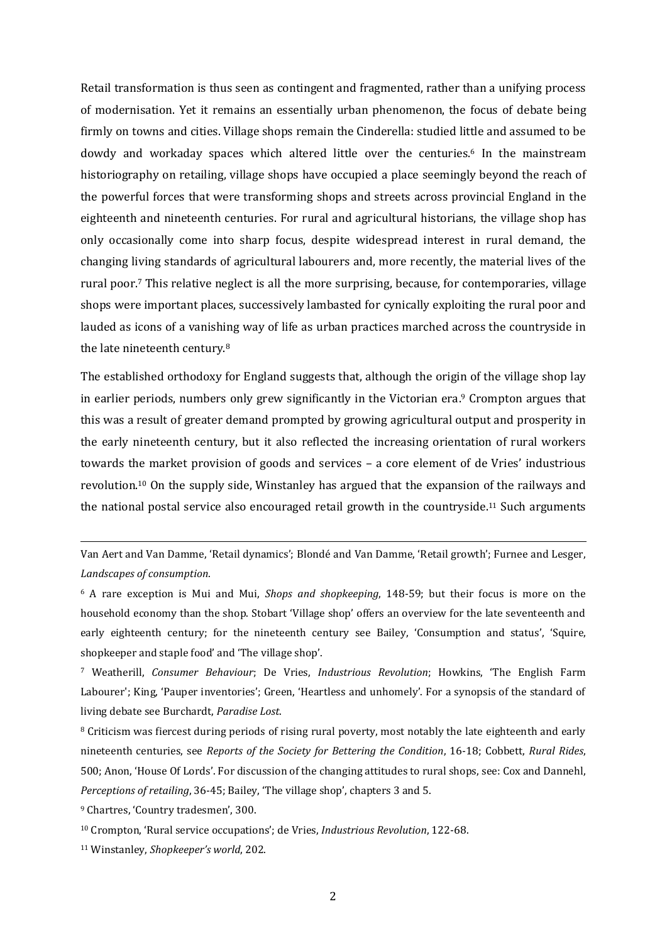Retail transformation is thus seen as contingent and fragmented, rather than a unifying process of modernisation. Yet it remains an essentially urban phenomenon, the focus of debate being firmly on towns and cities. Village shops remain the Cinderella: studied little and assumed to be dowdy and workaday spaces which altered little over the centuries. <sup>6</sup> In the mainstream historiography on retailing, village shops have occupied a place seemingly beyond the reach of the powerful forces that were transforming shops and streets across provincial England in the eighteenth and nineteenth centuries. For rural and agricultural historians, the village shop has only occasionally come into sharp focus, despite widespread interest in rural demand, the changing living standards of agricultural labourers and, more recently, the material lives of the rural poor.<sup>7</sup> This relative neglect is all the more surprising, because, for contemporaries, village shops were important places, successively lambasted for cynically exploiting the rural poor and lauded as icons of a vanishing way of life as urban practices marched across the countryside in the late nineteenth century.<sup>8</sup>

The established orthodoxy for England suggests that, although the origin of the village shop lay in earlier periods, numbers only grew significantly in the Victorian era. <sup>9</sup> Crompton argues that this was a result of greater demand prompted by growing agricultural output and prosperity in the early nineteenth century, but it also reflected the increasing orientation of rural workers towards the market provision of goods and services – a core element of de Vries' industrious revolution.<sup>10</sup> On the supply side, Winstanley has argued that the expansion of the railways and the national postal service also encouraged retail growth in the countryside.<sup>11</sup> Such arguments

Van Aert and Van Damme, 'Retail dynamics'; Blondé and Van Damme, 'Retail growth'; Furnee and Lesger, *Landscapes of consumption*.

<sup>6</sup> A rare exception is Mui and Mui, *Shops and shopkeeping*, 148-59; but their focus is more on the household economy than the shop. Stobart 'Village shop' offers an overview for the late seventeenth and early eighteenth century; for the nineteenth century see Bailey, 'Consumption and status', 'Squire, shopkeeper and staple food' and 'The village shop'.

<sup>7</sup> Weatherill, *Consumer Behaviour*; De Vries, *Industrious Revolution*; Howkins, 'The English Farm Labourer'; King, 'Pauper inventories'; Green, 'Heartless and unhomely'. For a synopsis of the standard of living debate see Burchardt, *Paradise Lost*.

<sup>8</sup> Criticism was fiercest during periods of rising rural poverty, most notably the late eighteenth and early nineteenth centuries, see *Reports of the Society for Bettering the Condition*, 16-18; Cobbett, *Rural Rides*, 500; Anon, 'House Of Lords'. For discussion of the changing attitudes to rural shops, see: Cox and Dannehl, *Perceptions of retailing*, 36-45; Bailey, 'The village shop', chapters 3 and 5.

<sup>9</sup> Chartres, 'Country tradesmen', 300.

<sup>10</sup> Crompton, 'Rural service occupations'; de Vries, *Industrious Revolution*, 122-68.

<sup>11</sup> Winstanley, *Shopkeeper's world*, 202.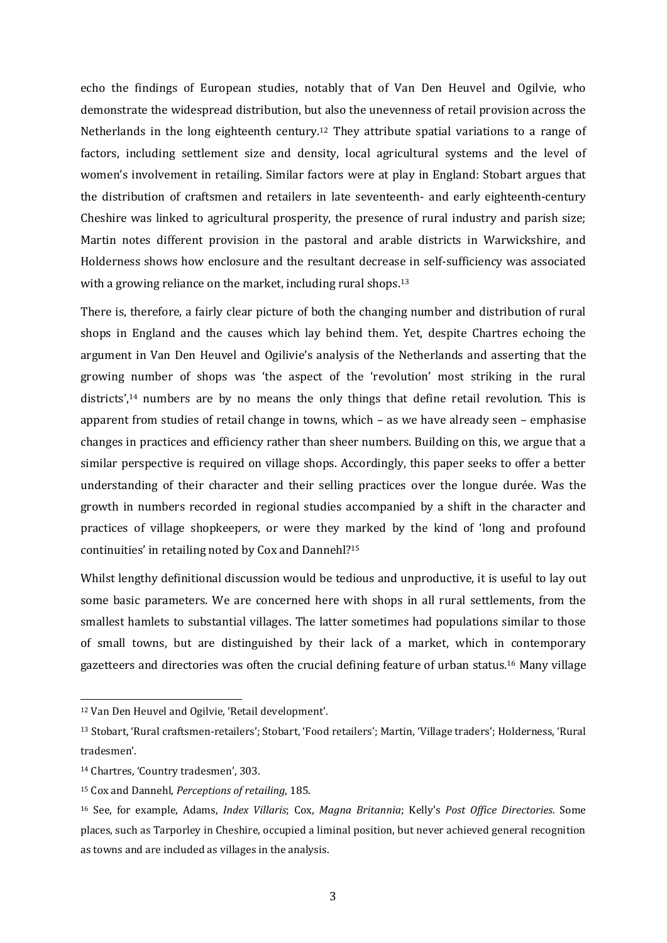echo the findings of European studies, notably that of Van Den Heuvel and Ogilvie, who demonstrate the widespread distribution, but also the unevenness of retail provision across the Netherlands in the long eighteenth century.<sup>12</sup> They attribute spatial variations to a range of factors, including settlement size and density, local agricultural systems and the level of women's involvement in retailing. Similar factors were at play in England: Stobart argues that the distribution of craftsmen and retailers in late seventeenth- and early eighteenth-century Cheshire was linked to agricultural prosperity, the presence of rural industry and parish size; Martin notes different provision in the pastoral and arable districts in Warwickshire, and Holderness shows how enclosure and the resultant decrease in self-sufficiency was associated with a growing reliance on the market, including rural shops.<sup>13</sup>

There is, therefore, a fairly clear picture of both the changing number and distribution of rural shops in England and the causes which lay behind them. Yet, despite Chartres echoing the argument in Van Den Heuvel and Ogilivie's analysis of the Netherlands and asserting that the growing number of shops was 'the aspect of the 'revolution' most striking in the rural districts',<sup>14</sup> numbers are by no means the only things that define retail revolution. This is apparent from studies of retail change in towns, which – as we have already seen – emphasise changes in practices and efficiency rather than sheer numbers. Building on this, we argue that a similar perspective is required on village shops. Accordingly, this paper seeks to offer a better understanding of their character and their selling practices over the longue durée. Was the growth in numbers recorded in regional studies accompanied by a shift in the character and practices of village shopkeepers, or were they marked by the kind of 'long and profound continuities' in retailing noted by Cox and Dannehl?<sup>15</sup>

Whilst lengthy definitional discussion would be tedious and unproductive, it is useful to lay out some basic parameters. We are concerned here with shops in all rural settlements, from the smallest hamlets to substantial villages. The latter sometimes had populations similar to those of small towns, but are distinguished by their lack of a market, which in contemporary gazetteers and directories was often the crucial defining feature of urban status.<sup>16</sup> Many village

<sup>12</sup> Van Den Heuvel and Ogilvie, 'Retail development'.

<sup>13</sup> Stobart, 'Rural craftsmen-retailers'; Stobart, 'Food retailers'; Martin, 'Village traders'; Holderness, 'Rural tradesmen'.

<sup>14</sup> Chartres, 'Country tradesmen', 303.

<sup>15</sup> Cox and Dannehl, *Perceptions of retailing*, 185.

<sup>16</sup> See, for example, Adams, *Index Villaris*; Cox, *Magna Britannia*; Kelly's *Post Office Directories.* Some places, such as Tarporley in Cheshire, occupied a liminal position, but never achieved general recognition as towns and are included as villages in the analysis.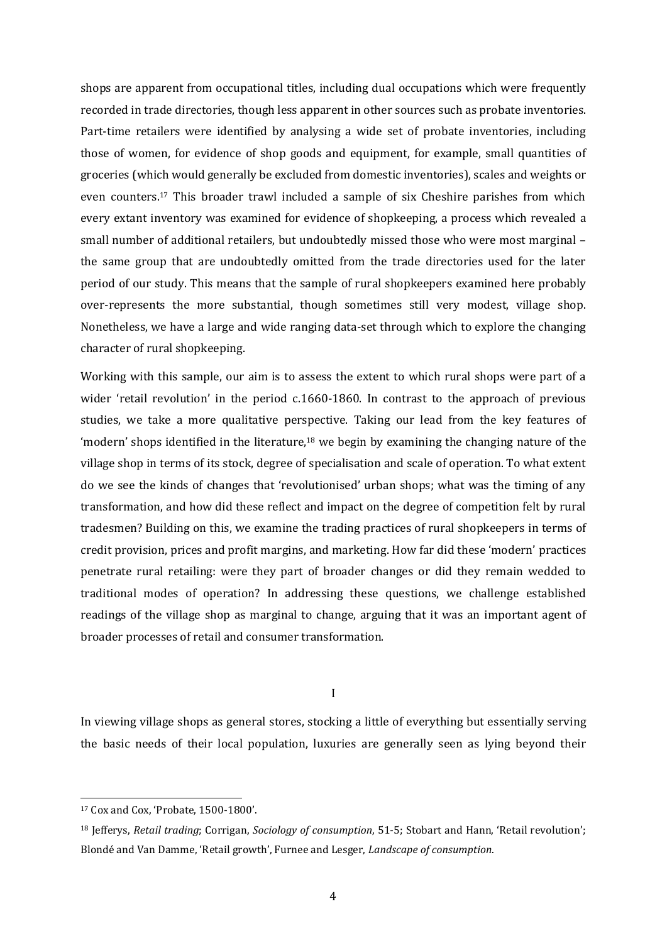shops are apparent from occupational titles, including dual occupations which were frequently recorded in trade directories, though less apparent in other sources such as probate inventories. Part-time retailers were identified by analysing a wide set of probate inventories, including those of women, for evidence of shop goods and equipment, for example, small quantities of groceries (which would generally be excluded from domestic inventories), scales and weights or even counters.<sup>17</sup> This broader trawl included a sample of six Cheshire parishes from which every extant inventory was examined for evidence of shopkeeping, a process which revealed a small number of additional retailers, but undoubtedly missed those who were most marginal – the same group that are undoubtedly omitted from the trade directories used for the later period of our study. This means that the sample of rural shopkeepers examined here probably over-represents the more substantial, though sometimes still very modest, village shop. Nonetheless, we have a large and wide ranging data-set through which to explore the changing character of rural shopkeeping.

Working with this sample, our aim is to assess the extent to which rural shops were part of a wider 'retail revolution' in the period c.1660-1860. In contrast to the approach of previous studies, we take a more qualitative perspective. Taking our lead from the key features of 'modern' shops identified in the literature,<sup>18</sup> we begin by examining the changing nature of the village shop in terms of its stock, degree of specialisation and scale of operation. To what extent do we see the kinds of changes that 'revolutionised' urban shops; what was the timing of any transformation, and how did these reflect and impact on the degree of competition felt by rural tradesmen? Building on this, we examine the trading practices of rural shopkeepers in terms of credit provision, prices and profit margins, and marketing. How far did these 'modern' practices penetrate rural retailing: were they part of broader changes or did they remain wedded to traditional modes of operation? In addressing these questions, we challenge established readings of the village shop as marginal to change, arguing that it was an important agent of broader processes of retail and consumer transformation.

I

In viewing village shops as general stores, stocking a little of everything but essentially serving the basic needs of their local population, luxuries are generally seen as lying beyond their

<sup>17</sup> Cox and Cox, 'Probate, 1500-1800'.

<sup>18</sup> Jefferys, *Retail trading*; Corrigan, *Sociology of consumption*, 51-5; Stobart and Hann, 'Retail revolution'; Blondé and Van Damme, 'Retail growth', Furnee and Lesger, *Landscape of consumption*.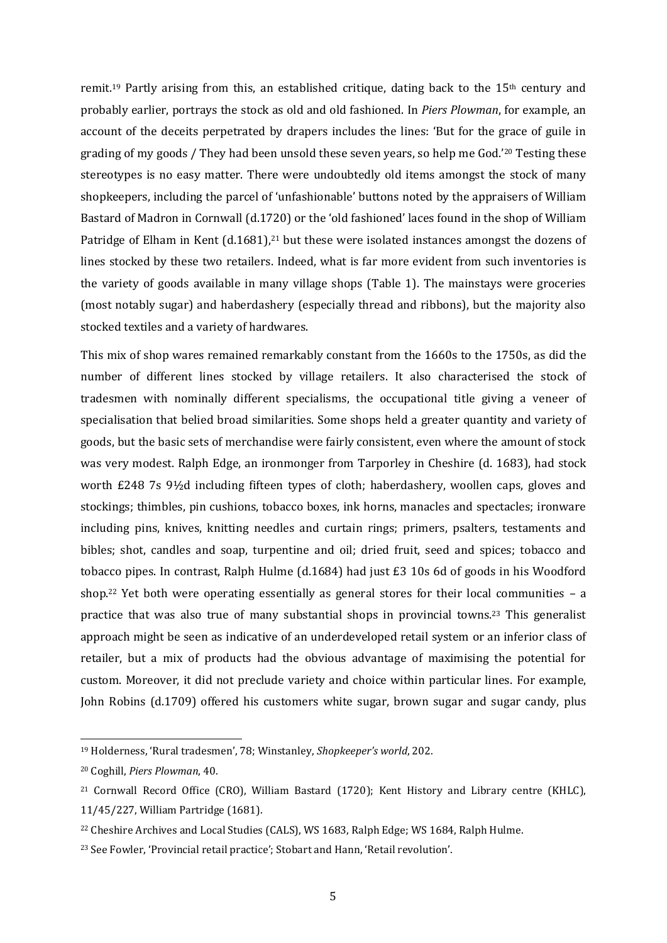remit.<sup>19</sup> Partly arising from this, an established critique, dating back to the  $15<sup>th</sup>$  century and probably earlier, portrays the stock as old and old fashioned. In *Piers Plowman*, for example, an account of the deceits perpetrated by drapers includes the lines: 'But for the grace of guile in grading of my goods / They had been unsold these seven years, so help me God.'<sup>20</sup> Testing these stereotypes is no easy matter. There were undoubtedly old items amongst the stock of many shopkeepers, including the parcel of 'unfashionable' buttons noted by the appraisers of William Bastard of Madron in Cornwall (d.1720) or the 'old fashioned' laces found in the shop of William Patridge of Elham in Kent (d.1681),<sup>21</sup> but these were isolated instances amongst the dozens of lines stocked by these two retailers. Indeed, what is far more evident from such inventories is the variety of goods available in many village shops (Table 1). The mainstays were groceries (most notably sugar) and haberdashery (especially thread and ribbons), but the majority also stocked textiles and a variety of hardwares.

This mix of shop wares remained remarkably constant from the 1660s to the 1750s, as did the number of different lines stocked by village retailers. It also characterised the stock of tradesmen with nominally different specialisms, the occupational title giving a veneer of specialisation that belied broad similarities. Some shops held a greater quantity and variety of goods, but the basic sets of merchandise were fairly consistent, even where the amount of stock was very modest. Ralph Edge, an ironmonger from Tarporley in Cheshire (d. 1683), had stock worth £248 7s 9½d including fifteen types of cloth; haberdashery, woollen caps, gloves and stockings; thimbles, pin cushions, tobacco boxes, ink horns, manacles and spectacles; ironware including pins, knives, knitting needles and curtain rings; primers, psalters, testaments and bibles; shot, candles and soap, turpentine and oil; dried fruit, seed and spices; tobacco and tobacco pipes. In contrast, Ralph Hulme (d.1684) had just £3 10s 6d of goods in his Woodford shop.<sup>22</sup> Yet both were operating essentially as general stores for their local communities - a practice that was also true of many substantial shops in provincial towns. <sup>23</sup> This generalist approach might be seen as indicative of an underdeveloped retail system or an inferior class of retailer, but a mix of products had the obvious advantage of maximising the potential for custom. Moreover, it did not preclude variety and choice within particular lines. For example, John Robins (d.1709) offered his customers white sugar, brown sugar and sugar candy, plus

<sup>19</sup> Holderness, 'Rural tradesmen', 78; Winstanley, *Shopkeeper's world*, 202.

<sup>20</sup> Coghill, *Piers Plowman*, 40.

<sup>&</sup>lt;sup>21</sup> Cornwall Record Office (CRO), William Bastard (1720); Kent History and Library centre (KHLC), 11/45/227, William Partridge (1681).

<sup>22</sup> Cheshire Archives and Local Studies (CALS), WS 1683, Ralph Edge; WS 1684, Ralph Hulme.

<sup>23</sup> See Fowler, 'Provincial retail practice'; Stobart and Hann, 'Retail revolution'.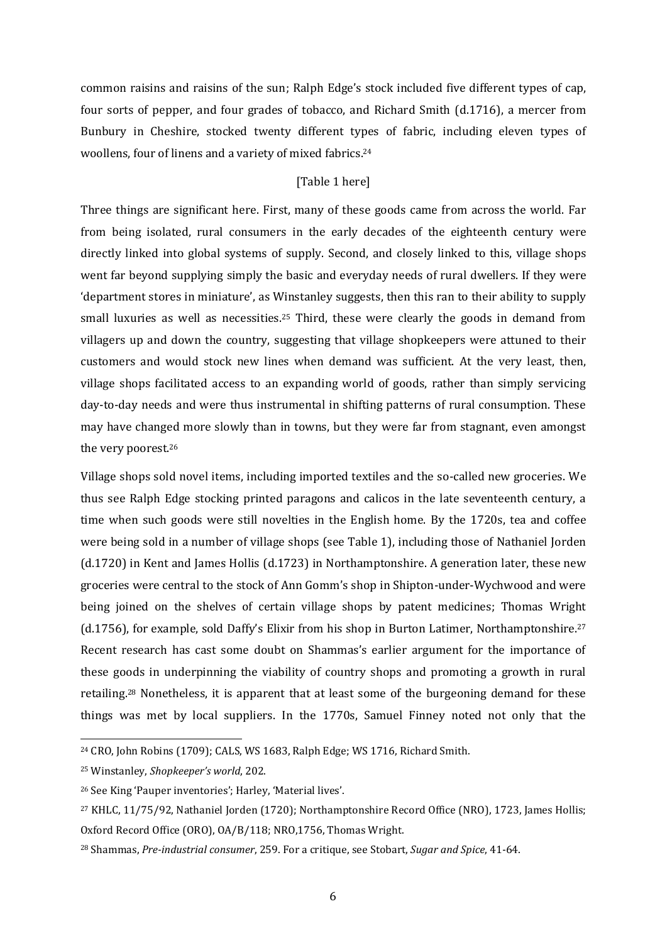common raisins and raisins of the sun; Ralph Edge's stock included five different types of cap, four sorts of pepper, and four grades of tobacco, and Richard Smith (d.1716), a mercer from Bunbury in Cheshire, stocked twenty different types of fabric, including eleven types of woollens, four of linens and a variety of mixed fabrics. 24

# [Table 1 here]

Three things are significant here. First, many of these goods came from across the world. Far from being isolated, rural consumers in the early decades of the eighteenth century were directly linked into global systems of supply. Second, and closely linked to this, village shops went far beyond supplying simply the basic and everyday needs of rural dwellers. If they were 'department stores in miniature', as Winstanley suggests, then this ran to their ability to supply small luxuries as well as necessities.<sup>25</sup> Third, these were clearly the goods in demand from villagers up and down the country, suggesting that village shopkeepers were attuned to their customers and would stock new lines when demand was sufficient. At the very least, then, village shops facilitated access to an expanding world of goods, rather than simply servicing day-to-day needs and were thus instrumental in shifting patterns of rural consumption. These may have changed more slowly than in towns, but they were far from stagnant, even amongst the very poorest.<sup>26</sup>

Village shops sold novel items, including imported textiles and the so-called new groceries. We thus see Ralph Edge stocking printed paragons and calicos in the late seventeenth century, a time when such goods were still novelties in the English home. By the 1720s, tea and coffee were being sold in a number of village shops (see Table 1), including those of Nathaniel Jorden (d.1720) in Kent and James Hollis (d.1723) in Northamptonshire. A generation later, these new groceries were central to the stock of Ann Gomm's shop in Shipton-under-Wychwood and were being joined on the shelves of certain village shops by patent medicines; Thomas Wright (d.1756), for example, sold Daffy's Elixir from his shop in Burton Latimer, Northamptonshire. 27 Recent research has cast some doubt on Shammas's earlier argument for the importance of these goods in underpinning the viability of country shops and promoting a growth in rural retailing.<sup>28</sup> Nonetheless, it is apparent that at least some of the burgeoning demand for these things was met by local suppliers. In the 1770s, Samuel Finney noted not only that the

<sup>24</sup> CRO, John Robins (1709); CALS, WS 1683, Ralph Edge; WS 1716, Richard Smith.

<sup>25</sup> Winstanley, *Shopkeeper's world*, 202.

<sup>26</sup> See King 'Pauper inventories'; Harley, 'Material lives'.

<sup>27</sup> KHLC, 11/75/92, Nathaniel Jorden (1720); Northamptonshire Record Office (NRO), 1723, James Hollis; Oxford Record Office (ORO), OA/B/118; NRO,1756, Thomas Wright.

<sup>28</sup> Shammas, *Pre-industrial consumer*, 259. For a critique, see Stobart, *Sugar and Spice*, 41-64.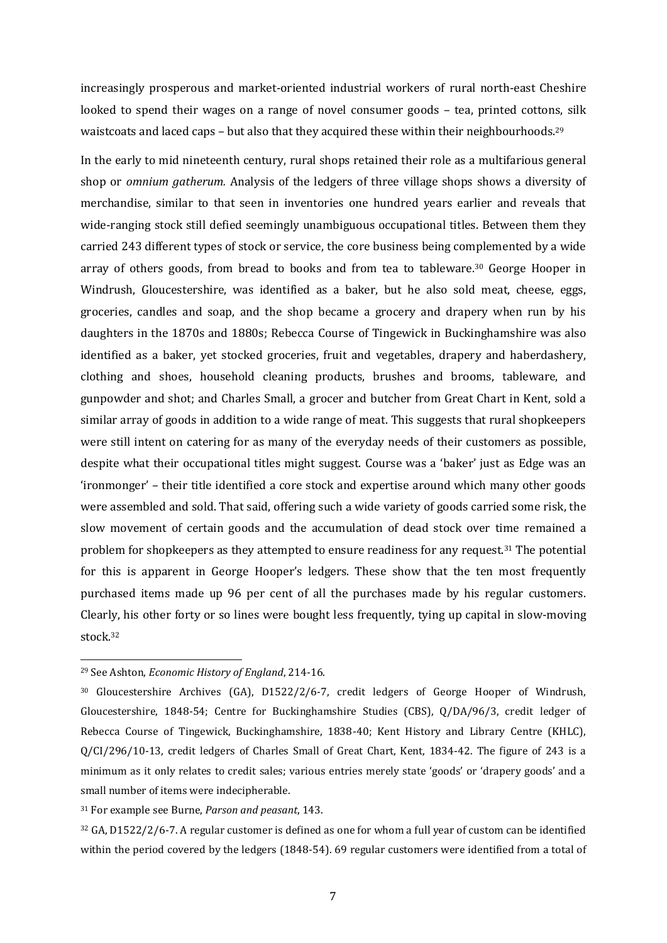increasingly prosperous and market-oriented industrial workers of rural north-east Cheshire looked to spend their wages on a range of novel consumer goods – tea, printed cottons, silk waistcoats and laced caps - but also that they acquired these within their neighbourhoods.<sup>29</sup>

In the early to mid nineteenth century, rural shops retained their role as a multifarious general shop or *omnium gatherum.* Analysis of the ledgers of three village shops shows a diversity of merchandise, similar to that seen in inventories one hundred years earlier and reveals that wide-ranging stock still defied seemingly unambiguous occupational titles. Between them they carried 243 different types of stock or service, the core business being complemented by a wide array of others goods, from bread to books and from tea to tableware.<sup>30</sup> George Hooper in Windrush, Gloucestershire, was identified as a baker, but he also sold meat, cheese, eggs, groceries, candles and soap, and the shop became a grocery and drapery when run by his daughters in the 1870s and 1880s; Rebecca Course of Tingewick in Buckinghamshire was also identified as a baker, yet stocked groceries, fruit and vegetables, drapery and haberdashery, clothing and shoes, household cleaning products, brushes and brooms, tableware, and gunpowder and shot; and Charles Small, a grocer and butcher from Great Chart in Kent, sold a similar array of goods in addition to a wide range of meat. This suggests that rural shopkeepers were still intent on catering for as many of the everyday needs of their customers as possible, despite what their occupational titles might suggest. Course was a 'baker' just as Edge was an 'ironmonger' – their title identified a core stock and expertise around which many other goods were assembled and sold. That said, offering such a wide variety of goods carried some risk, the slow movement of certain goods and the accumulation of dead stock over time remained a problem for shopkeepers as they attempted to ensure readiness for any request.<sup>31</sup> The potential for this is apparent in George Hooper's ledgers. These show that the ten most frequently purchased items made up 96 per cent of all the purchases made by his regular customers. Clearly, his other forty or so lines were bought less frequently, tying up capital in slow-moving stock. 32

-

<sup>31</sup> For example see Burne, *Parson and peasant*, 143.

<sup>32</sup> GA, D1522/2/6-7. A regular customer is defined as one for whom a full year of custom can be identified within the period covered by the ledgers (1848-54). 69 regular customers were identified from a total of

<sup>29</sup> See Ashton, *Economic History of England*, 214-16.

<sup>30</sup> Gloucestershire Archives (GA), D1522/2/6-7, credit ledgers of George Hooper of Windrush, Gloucestershire, 1848-54; Centre for Buckinghamshire Studies (CBS), Q/DA/96/3, credit ledger of Rebecca Course of Tingewick, Buckinghamshire, 1838-40; Kent History and Library Centre (KHLC), Q/CI/296/10-13, credit ledgers of Charles Small of Great Chart, Kent, 1834-42. The figure of 243 is a minimum as it only relates to credit sales; various entries merely state 'goods' or 'drapery goods' and a small number of items were indecipherable.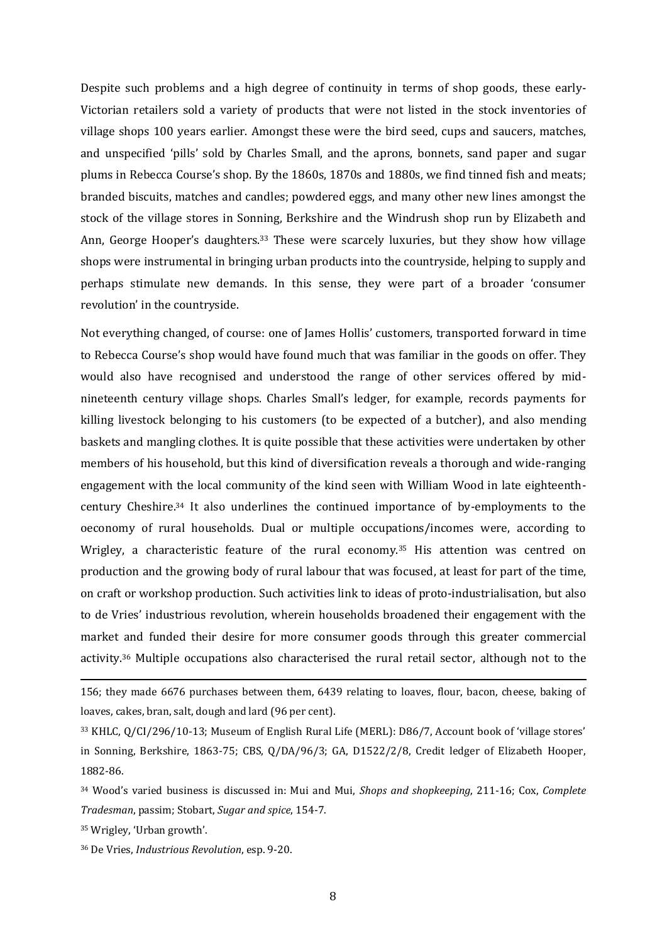Despite such problems and a high degree of continuity in terms of shop goods, these early-Victorian retailers sold a variety of products that were not listed in the stock inventories of village shops 100 years earlier. Amongst these were the bird seed, cups and saucers, matches, and unspecified 'pills' sold by Charles Small, and the aprons, bonnets, sand paper and sugar plums in Rebecca Course's shop. By the 1860s, 1870s and 1880s, we find tinned fish and meats; branded biscuits, matches and candles; powdered eggs, and many other new lines amongst the stock of the village stores in Sonning, Berkshire and the Windrush shop run by Elizabeth and Ann, George Hooper's daughters. <sup>33</sup> These were scarcely luxuries, but they show how village shops were instrumental in bringing urban products into the countryside, helping to supply and perhaps stimulate new demands. In this sense, they were part of a broader 'consumer revolution' in the countryside.

Not everything changed, of course: one of James Hollis' customers, transported forward in time to Rebecca Course's shop would have found much that was familiar in the goods on offer. They would also have recognised and understood the range of other services offered by midnineteenth century village shops. Charles Small's ledger, for example, records payments for killing livestock belonging to his customers (to be expected of a butcher), and also mending baskets and mangling clothes. It is quite possible that these activities were undertaken by other members of his household, but this kind of diversification reveals a thorough and wide-ranging engagement with the local community of the kind seen with William Wood in late eighteenthcentury Cheshire. <sup>34</sup> It also underlines the continued importance of by-employments to the oeconomy of rural households. Dual or multiple occupations/incomes were, according to Wrigley, a characteristic feature of the rural economy.<sup>35</sup> His attention was centred on production and the growing body of rural labour that was focused, at least for part of the time, on craft or workshop production. Such activities link to ideas of proto-industrialisation, but also to de Vries' industrious revolution, wherein households broadened their engagement with the market and funded their desire for more consumer goods through this greater commercial activity.<sup>36</sup> Multiple occupations also characterised the rural retail sector, although not to the

<sup>156;</sup> they made 6676 purchases between them, 6439 relating to loaves, flour, bacon, cheese, baking of loaves, cakes, bran, salt, dough and lard (96 per cent).

<sup>33</sup> KHLC, Q/CI/296/10-13; Museum of English Rural Life (MERL): D86/7, Account book of 'village stores' in Sonning, Berkshire, 1863-75; CBS, Q/DA/96/3; GA, D1522/2/8, Credit ledger of Elizabeth Hooper, 1882-86.

<sup>34</sup> Wood's varied business is discussed in: Mui and Mui, *Shops and shopkeeping*, 211-16; Cox, *Complete Tradesman*, passim; Stobart, *Sugar and spice*, 154-7.

<sup>35</sup> Wrigley, 'Urban growth'.

<sup>36</sup> De Vries, *Industrious Revolution*, esp. 9-20.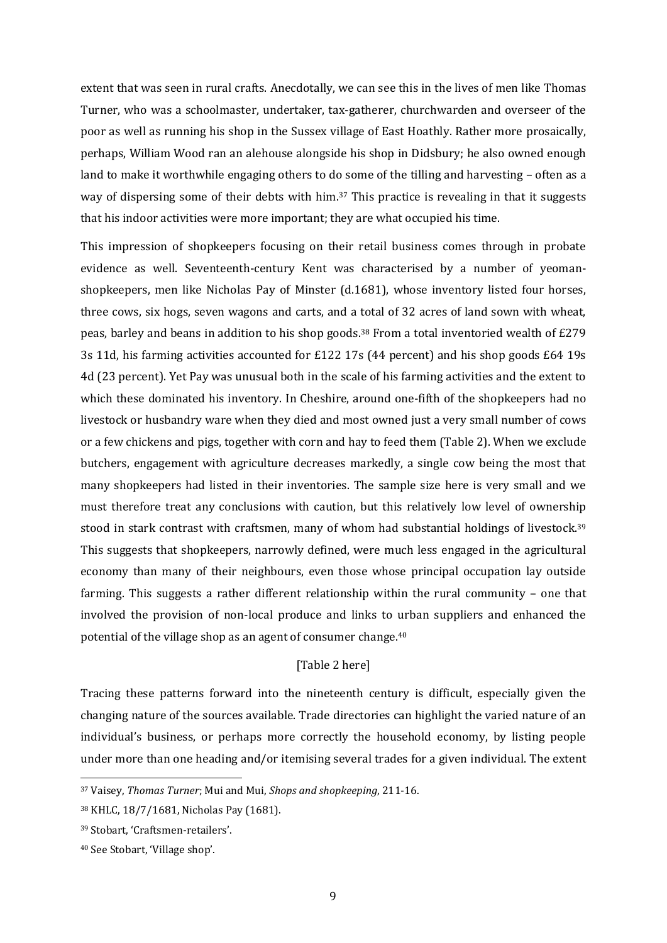extent that was seen in rural crafts. Anecdotally, we can see this in the lives of men like Thomas Turner, who was a schoolmaster, undertaker, tax-gatherer, churchwarden and overseer of the poor as well as running his shop in the Sussex village of East Hoathly. Rather more prosaically, perhaps, William Wood ran an alehouse alongside his shop in Didsbury; he also owned enough land to make it worthwhile engaging others to do some of the tilling and harvesting – often as a way of dispersing some of their debts with him. <sup>37</sup> This practice is revealing in that it suggests that his indoor activities were more important; they are what occupied his time.

This impression of shopkeepers focusing on their retail business comes through in probate evidence as well. Seventeenth-century Kent was characterised by a number of yeomanshopkeepers, men like Nicholas Pay of Minster (d.1681), whose inventory listed four horses, three cows, six hogs, seven wagons and carts, and a total of 32 acres of land sown with wheat, peas, barley and beans in addition to his shop goods.<sup>38</sup> From a total inventoried wealth of £279 3s 11d, his farming activities accounted for £122 17s (44 percent) and his shop goods £64 19s 4d (23 percent). Yet Pay was unusual both in the scale of his farming activities and the extent to which these dominated his inventory. In Cheshire, around one-fifth of the shopkeepers had no livestock or husbandry ware when they died and most owned just a very small number of cows or a few chickens and pigs, together with corn and hay to feed them (Table 2). When we exclude butchers, engagement with agriculture decreases markedly, a single cow being the most that many shopkeepers had listed in their inventories. The sample size here is very small and we must therefore treat any conclusions with caution, but this relatively low level of ownership stood in stark contrast with craftsmen, many of whom had substantial holdings of livestock.<sup>39</sup> This suggests that shopkeepers, narrowly defined, were much less engaged in the agricultural economy than many of their neighbours, even those whose principal occupation lay outside farming. This suggests a rather different relationship within the rural community – one that involved the provision of non-local produce and links to urban suppliers and enhanced the potential of the village shop as an agent of consumer change. 40

# [Table 2 here]

Tracing these patterns forward into the nineteenth century is difficult, especially given the changing nature of the sources available. Trade directories can highlight the varied nature of an individual's business, or perhaps more correctly the household economy, by listing people under more than one heading and/or itemising several trades for a given individual. The extent

<sup>37</sup> Vaisey, *Thomas Turner*; Mui and Mui, *Shops and shopkeeping*, 211-16.

<sup>38</sup> KHLC, 18/7/1681, Nicholas Pay (1681).

<sup>39</sup> Stobart, 'Craftsmen-retailers'.

<sup>40</sup> See Stobart, 'Village shop'.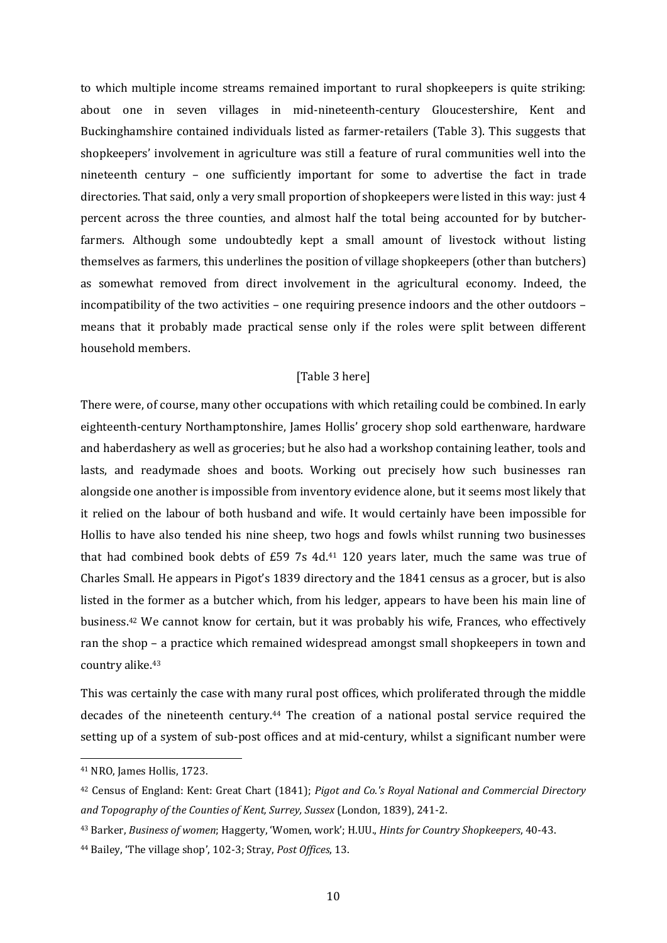to which multiple income streams remained important to rural shopkeepers is quite striking: about one in seven villages in mid-nineteenth-century Gloucestershire, Kent and Buckinghamshire contained individuals listed as farmer-retailers (Table 3). This suggests that shopkeepers' involvement in agriculture was still a feature of rural communities well into the nineteenth century – one sufficiently important for some to advertise the fact in trade directories. That said, only a very small proportion of shopkeepers were listed in this way: just 4 percent across the three counties, and almost half the total being accounted for by butcherfarmers. Although some undoubtedly kept a small amount of livestock without listing themselves as farmers, this underlines the position of village shopkeepers (other than butchers) as somewhat removed from direct involvement in the agricultural economy. Indeed, the incompatibility of the two activities – one requiring presence indoors and the other outdoors – means that it probably made practical sense only if the roles were split between different household members.

## [Table 3 here]

There were, of course, many other occupations with which retailing could be combined. In early eighteenth-century Northamptonshire, James Hollis' grocery shop sold earthenware, hardware and haberdashery as well as groceries; but he also had a workshop containing leather, tools and lasts, and readymade shoes and boots. Working out precisely how such businesses ran alongside one another is impossible from inventory evidence alone, but it seems most likely that it relied on the labour of both husband and wife. It would certainly have been impossible for Hollis to have also tended his nine sheep, two hogs and fowls whilst running two businesses that had combined book debts of  $£59$  7s 4d.<sup>41</sup> 120 years later, much the same was true of Charles Small. He appears in Pigot's 1839 directory and the 1841 census as a grocer, but is also listed in the former as a butcher which, from his ledger, appears to have been his main line of business.<sup>42</sup> We cannot know for certain, but it was probably his wife, Frances, who effectively ran the shop – a practice which remained widespread amongst small shopkeepers in town and country alike.<sup>43</sup>

This was certainly the case with many rural post offices, which proliferated through the middle decades of the nineteenth century.<sup>44</sup> The creation of a national postal service required the setting up of a system of sub-post offices and at mid-century, whilst a significant number were

<sup>41</sup> NRO, James Hollis, 1723.

<sup>42</sup> Census of England: Kent: Great Chart (1841); *Pigot and Co.'s Royal National and Commercial Directory and Topography of the Counties of Kent, Surrey, Sussex* (London, 1839), 241-2.

<sup>43</sup> Barker, *Business of women*; Haggerty, 'Women, work'; H.UU., *Hints for Country Shopkeepers*, 40-43. <sup>44</sup> Bailey, 'The village shop', 102-3; Stray, *Post Offices*, 13.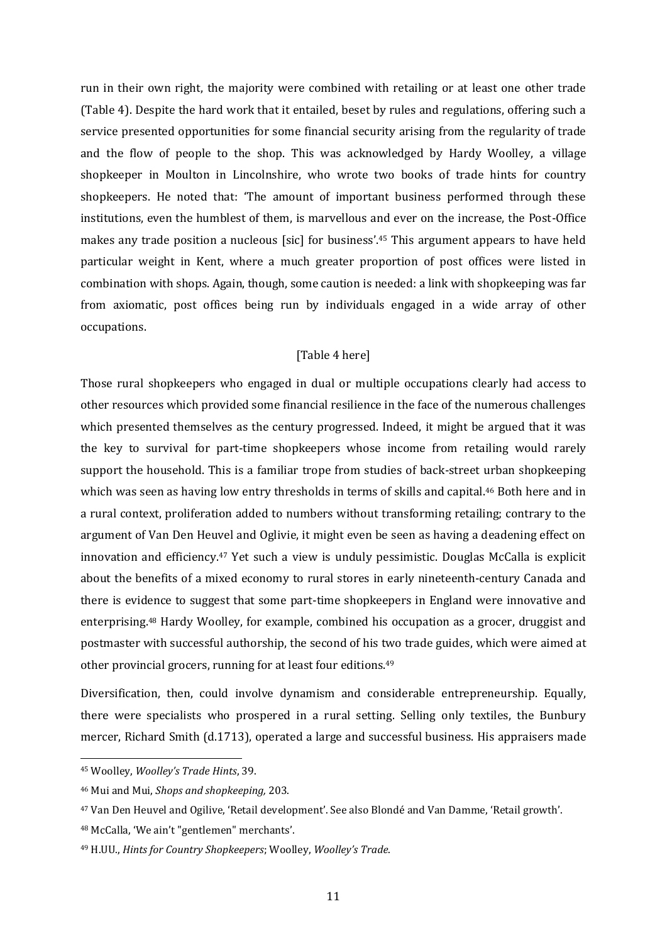run in their own right, the majority were combined with retailing or at least one other trade (Table 4). Despite the hard work that it entailed, beset by rules and regulations, offering such a service presented opportunities for some financial security arising from the regularity of trade and the flow of people to the shop. This was acknowledged by Hardy Woolley, a village shopkeeper in Moulton in Lincolnshire, who wrote two books of trade hints for country shopkeepers. He noted that: 'The amount of important business performed through these institutions, even the humblest of them, is marvellous and ever on the increase, the Post-Office makes any trade position a nucleous [sic] for business'.<sup>45</sup> This argument appears to have held particular weight in Kent, where a much greater proportion of post offices were listed in combination with shops. Again, though, some caution is needed: a link with shopkeeping was far from axiomatic, post offices being run by individuals engaged in a wide array of other occupations.

## [Table 4 here]

Those rural shopkeepers who engaged in dual or multiple occupations clearly had access to other resources which provided some financial resilience in the face of the numerous challenges which presented themselves as the century progressed. Indeed, it might be argued that it was the key to survival for part-time shopkeepers whose income from retailing would rarely support the household. This is a familiar trope from studies of back-street urban shopkeeping which was seen as having low entry thresholds in terms of skills and capital.<sup>46</sup> Both here and in a rural context, proliferation added to numbers without transforming retailing; contrary to the argument of Van Den Heuvel and Oglivie, it might even be seen as having a deadening effect on innovation and efficiency.<sup>47</sup> Yet such a view is unduly pessimistic. Douglas McCalla is explicit about the benefits of a mixed economy to rural stores in early nineteenth-century Canada and there is evidence to suggest that some part-time shopkeepers in England were innovative and enterprising.<sup>48</sup> Hardy Woolley, for example, combined his occupation as a grocer, druggist and postmaster with successful authorship, the second of his two trade guides, which were aimed at other provincial grocers, running for at least four editions.<sup>49</sup>

Diversification, then, could involve dynamism and considerable entrepreneurship. Equally, there were specialists who prospered in a rural setting. Selling only textiles, the Bunbury mercer, Richard Smith (d.1713), operated a large and successful business. His appraisers made

<sup>45</sup> Woolley, *Woolley's Trade Hints*, 39.

<sup>46</sup> Mui and Mui, *Shops and shopkeeping,* 203.

<sup>47</sup> Van Den Heuvel and Ogilive, 'Retail development'. See also Blondé and Van Damme, 'Retail growth'.

<sup>48</sup> McCalla, 'We ain't "gentlemen" merchants'.

<sup>49</sup> H.UU., *Hints for Country Shopkeepers*; Woolley, *Woolley's Trade*.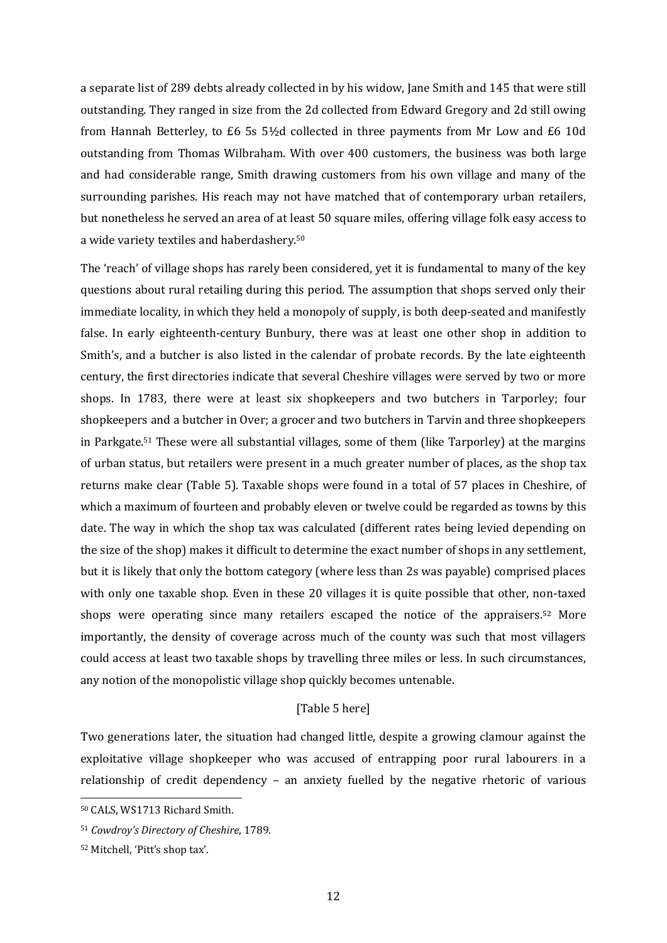a separate list of 289 debts already collected in by his widow, Jane Smith and 145 that were still outstanding. They ranged in size from the 2d collected from Edward Gregory and 2d still owing from Hannah Betterley, to £6 5s 5½d collected in three payments from Mr Low and £6 10d outstanding from Thomas Wilbraham. With over 400 customers, the business was both large and had considerable range, Smith drawing customers from his own village and many of the surrounding parishes. His reach may not have matched that of contemporary urban retailers, but nonetheless he served an area of at least 50 square miles, offering village folk easy access to a wide variety textiles and haberdashery.<sup>50</sup>

The 'reach' of village shops has rarely been considered, yet it is fundamental to many of the key questions about rural retailing during this period. The assumption that shops served only their immediate locality, in which they held a monopoly of supply, is both deep-seated and manifestly false. In early eighteenth-century Bunbury, there was at least one other shop in addition to Smith's, and a butcher is also listed in the calendar of probate records. By the late eighteenth century, the first directories indicate that several Cheshire villages were served by two or more shops. In 1783, there were at least six shopkeepers and two butchers in Tarporley; four shopkeepers and a butcher in Over; a grocer and two butchers in Tarvin and three shopkeepers in Parkgate.<sup>51</sup> These were all substantial villages, some of them (like Tarporley) at the margins of urban status, but retailers were present in a much greater number of places, as the shop tax returns make clear (Table 5). Taxable shops were found in a total of 57 places in Cheshire, of which a maximum of fourteen and probably eleven or twelve could be regarded as towns by this date. The way in which the shop tax was calculated (different rates being levied depending on the size of the shop) makes it difficult to determine the exact number of shops in any settlement, but it is likely that only the bottom category (where less than 2s was payable) comprised places with only one taxable shop. Even in these 20 villages it is quite possible that other, non-taxed shops were operating since many retailers escaped the notice of the appraisers.<sup>52</sup> More importantly, the density of coverage across much of the county was such that most villagers could access at least two taxable shops by travelling three miles or less. In such circumstances, any notion of the monopolistic village shop quickly becomes untenable.

# [Table 5 here]

Two generations later, the situation had changed little, despite a growing clamour against the exploitative village shopkeeper who was accused of entrapping poor rural labourers in a relationship of credit dependency – an anxiety fuelled by the negative rhetoric of various

<sup>50</sup> CALS, WS1713 Richard Smith.

<sup>51</sup> *Cowdroy's Directory of Cheshire*, 1789.

<sup>52</sup> Mitchell, 'Pitt's shop tax'.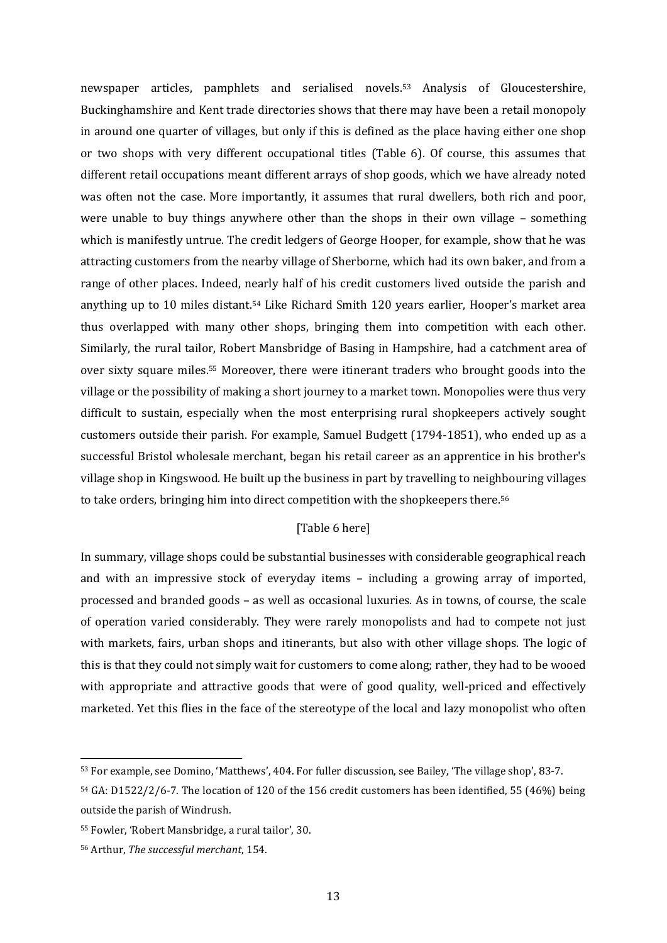newspaper articles, pamphlets and serialised novels. <sup>53</sup> Analysis of Gloucestershire, Buckinghamshire and Kent trade directories shows that there may have been a retail monopoly in around one quarter of villages, but only if this is defined as the place having either one shop or two shops with very different occupational titles (Table 6). Of course, this assumes that different retail occupations meant different arrays of shop goods, which we have already noted was often not the case. More importantly, it assumes that rural dwellers, both rich and poor, were unable to buy things anywhere other than the shops in their own village – something which is manifestly untrue. The credit ledgers of George Hooper, for example, show that he was attracting customers from the nearby village of Sherborne, which had its own baker, and from a range of other places. Indeed, nearly half of his credit customers lived outside the parish and anything up to 10 miles distant. <sup>54</sup> Like Richard Smith 120 years earlier, Hooper's market area thus overlapped with many other shops, bringing them into competition with each other. Similarly, the rural tailor, Robert Mansbridge of Basing in Hampshire, had a catchment area of over sixty square miles. <sup>55</sup> Moreover, there were itinerant traders who brought goods into the village or the possibility of making a short journey to a market town. Monopolies were thus very difficult to sustain, especially when the most enterprising rural shopkeepers actively sought customers outside their parish. For example, Samuel Budgett (1794-1851), who ended up as a successful Bristol wholesale merchant, began his retail career as an apprentice in his brother's village shop in Kingswood. He built up the business in part by travelling to neighbouring villages to take orders, bringing him into direct competition with the shopkeepers there.<sup>56</sup>

# [Table 6 here]

In summary, village shops could be substantial businesses with considerable geographical reach and with an impressive stock of everyday items – including a growing array of imported, processed and branded goods – as well as occasional luxuries. As in towns, of course, the scale of operation varied considerably. They were rarely monopolists and had to compete not just with markets, fairs, urban shops and itinerants, but also with other village shops. The logic of this is that they could not simply wait for customers to come along; rather, they had to be wooed with appropriate and attractive goods that were of good quality, well-priced and effectively marketed. Yet this flies in the face of the stereotype of the local and lazy monopolist who often

<sup>53</sup> For example, see Domino, 'Matthews', 404. For fuller discussion, see Bailey, 'The village shop', 83-7.

<sup>54</sup> GA: D1522/2/6-7. The location of 120 of the 156 credit customers has been identified, 55 (46%) being outside the parish of Windrush.

<sup>55</sup> Fowler, 'Robert Mansbridge, a rural tailor', 30.

<sup>56</sup> Arthur, *The successful merchant*, 154.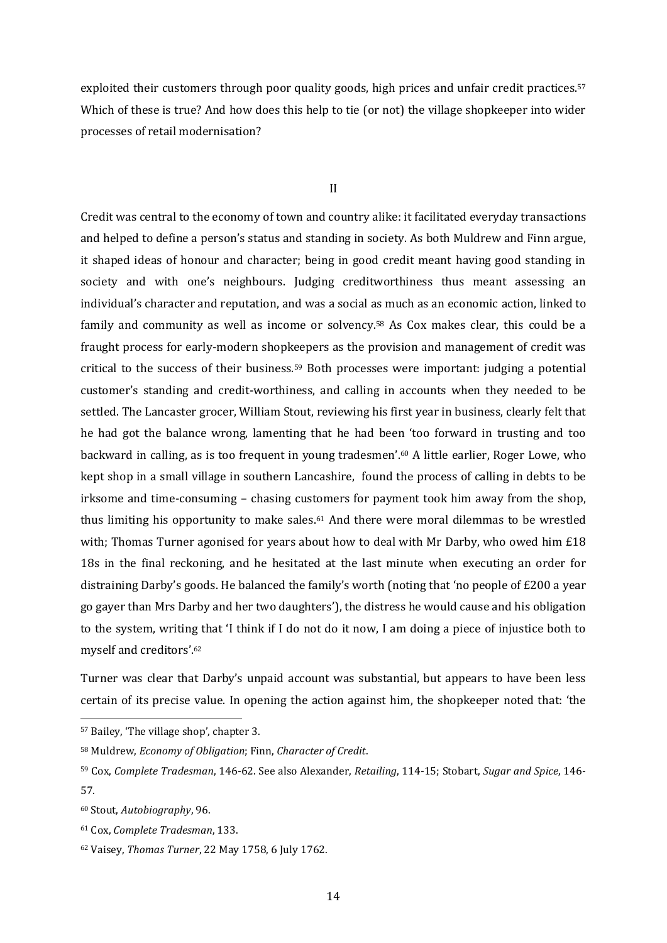exploited their customers through poor quality goods, high prices and unfair credit practices.<sup>57</sup> Which of these is true? And how does this help to tie (or not) the village shopkeeper into wider processes of retail modernisation?

#### II

Credit was central to the economy of town and country alike: it facilitated everyday transactions and helped to define a person's status and standing in society. As both Muldrew and Finn argue, it shaped ideas of honour and character; being in good credit meant having good standing in society and with one's neighbours. Judging creditworthiness thus meant assessing an individual's character and reputation, and was a social as much as an economic action, linked to family and community as well as income or solvency.<sup>58</sup> As Cox makes clear, this could be a fraught process for early-modern shopkeepers as the provision and management of credit was critical to the success of their business.<sup>59</sup> Both processes were important: judging a potential customer's standing and credit-worthiness, and calling in accounts when they needed to be settled. The Lancaster grocer, William Stout, reviewing his first year in business, clearly felt that he had got the balance wrong, lamenting that he had been 'too forward in trusting and too backward in calling, as is too frequent in young tradesmen'.<sup>60</sup> A little earlier, Roger Lowe, who kept shop in a small village in southern Lancashire, found the process of calling in debts to be irksome and time-consuming – chasing customers for payment took him away from the shop, thus limiting his opportunity to make sales.<sup>61</sup> And there were moral dilemmas to be wrestled with; Thomas Turner agonised for years about how to deal with Mr Darby, who owed him £18 18s in the final reckoning, and he hesitated at the last minute when executing an order for distraining Darby's goods. He balanced the family's worth (noting that 'no people of £200 a year go gayer than Mrs Darby and her two daughters'), the distress he would cause and his obligation to the system, writing that 'I think if I do not do it now, I am doing a piece of injustice both to myself and creditors'.<sup>62</sup>

Turner was clear that Darby's unpaid account was substantial, but appears to have been less certain of its precise value. In opening the action against him, the shopkeeper noted that: 'the

<sup>57</sup> Bailey, 'The village shop', chapter 3.

<sup>58</sup> Muldrew, *Economy of Obligation*; Finn, *Character of Credit*.

<sup>59</sup> Cox, *Complete Tradesman*, 146-62. See also Alexander, *Retailing*, 114-15; Stobart, *Sugar and Spice*, 146- 57.

<sup>60</sup> Stout, *Autobiography*, 96.

<sup>61</sup> Cox, *Complete Tradesman*, 133.

<sup>62</sup> Vaisey, *Thomas Turner*, 22 May 1758, 6 July 1762.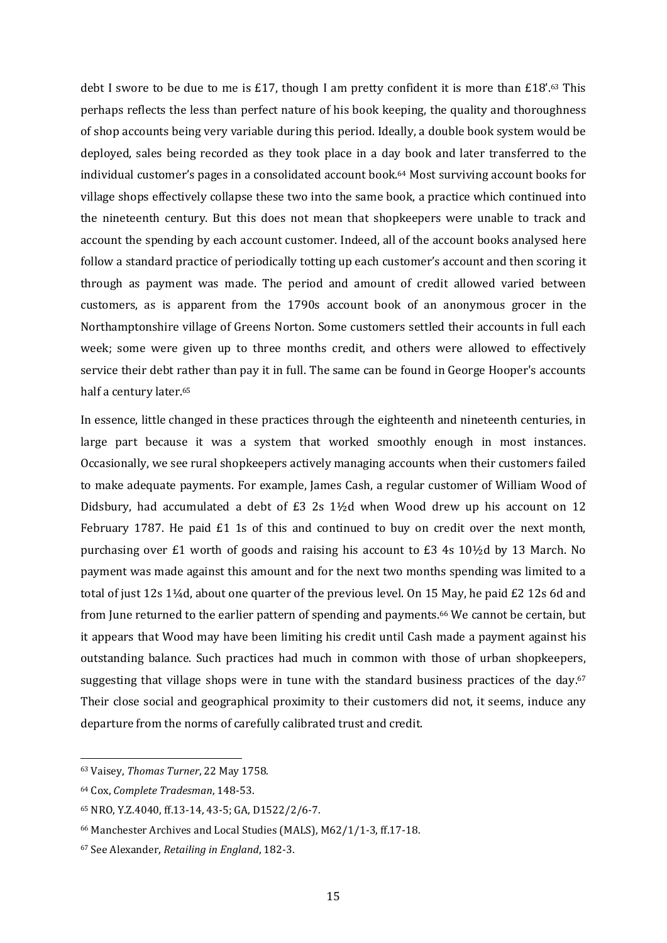debt I swore to be due to me is £17, though I am pretty confident it is more than £18'.<sup>63</sup> This perhaps reflects the less than perfect nature of his book keeping, the quality and thoroughness of shop accounts being very variable during this period. Ideally, a double book system would be deployed, sales being recorded as they took place in a day book and later transferred to the individual customer's pages in a consolidated account book.<sup>64</sup> Most surviving account books for village shops effectively collapse these two into the same book, a practice which continued into the nineteenth century. But this does not mean that shopkeepers were unable to track and account the spending by each account customer. Indeed, all of the account books analysed here follow a standard practice of periodically totting up each customer's account and then scoring it through as payment was made. The period and amount of credit allowed varied between customers, as is apparent from the 1790s account book of an anonymous grocer in the Northamptonshire village of Greens Norton. Some customers settled their accounts in full each week; some were given up to three months credit, and others were allowed to effectively service their debt rather than pay it in full. The same can be found in George Hooper's accounts half a century later.<sup>65</sup>

In essence, little changed in these practices through the eighteenth and nineteenth centuries, in large part because it was a system that worked smoothly enough in most instances. Occasionally, we see rural shopkeepers actively managing accounts when their customers failed to make adequate payments. For example, James Cash, a regular customer of William Wood of Didsbury, had accumulated a debt of £3 2s 1½d when Wood drew up his account on 12 February 1787. He paid £1 1s of this and continued to buy on credit over the next month, purchasing over £1 worth of goods and raising his account to £3 4s 10½d by 13 March. No payment was made against this amount and for the next two months spending was limited to a total of just 12s 1¼d, about one quarter of the previous level. On 15 May, he paid £2 12s 6d and from June returned to the earlier pattern of spending and payments.<sup>66</sup> We cannot be certain, but it appears that Wood may have been limiting his credit until Cash made a payment against his outstanding balance. Such practices had much in common with those of urban shopkeepers, suggesting that village shops were in tune with the standard business practices of the day.<sup>67</sup> Their close social and geographical proximity to their customers did not, it seems, induce any departure from the norms of carefully calibrated trust and credit.

<sup>63</sup> Vaisey, *Thomas Turner*, 22 May 1758.

<sup>64</sup> Cox, *Complete Tradesman*, 148-53.

<sup>65</sup> NRO, Y.Z.4040, ff.13-14, 43-5; GA, D1522/2/6-7.

<sup>66</sup> Manchester Archives and Local Studies (MALS), M62/1/1-3, ff.17-18.

<sup>67</sup> See Alexander, *Retailing in England*, 182-3.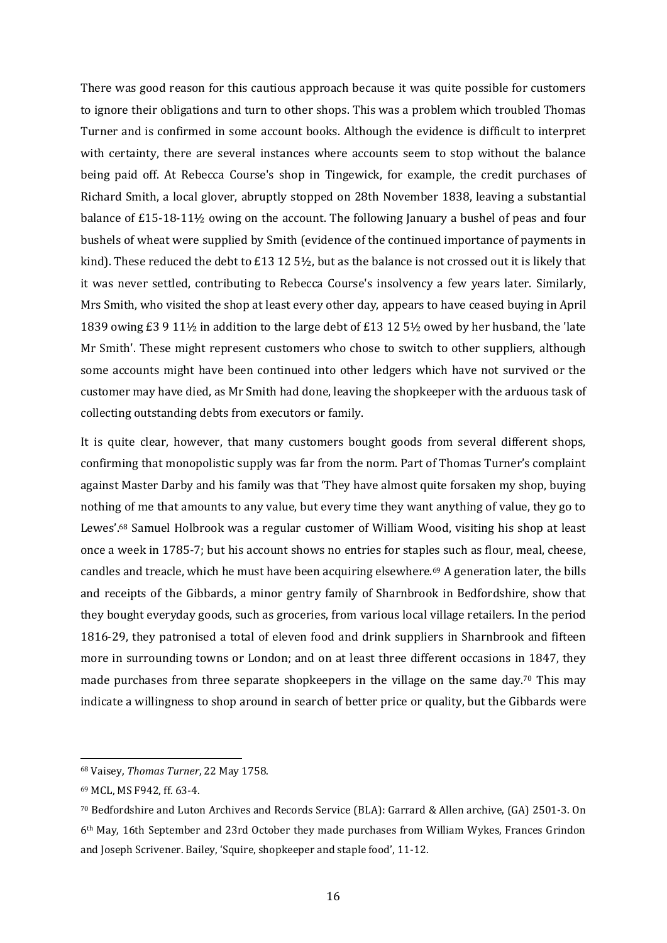There was good reason for this cautious approach because it was quite possible for customers to ignore their obligations and turn to other shops. This was a problem which troubled Thomas Turner and is confirmed in some account books. Although the evidence is difficult to interpret with certainty, there are several instances where accounts seem to stop without the balance being paid off. At Rebecca Course's shop in Tingewick, for example, the credit purchases of Richard Smith, a local glover, abruptly stopped on 28th November 1838, leaving a substantial balance of £15-18-11½ owing on the account. The following January a bushel of peas and four bushels of wheat were supplied by Smith (evidence of the continued importance of payments in kind). These reduced the debt to £13 12 5½, but as the balance is not crossed out it is likely that it was never settled, contributing to Rebecca Course's insolvency a few years later. Similarly, Mrs Smith, who visited the shop at least every other day, appears to have ceased buying in April 1839 owing £3 9 11½ in addition to the large debt of £13 12 5½ owed by her husband, the 'late Mr Smith'. These might represent customers who chose to switch to other suppliers, although some accounts might have been continued into other ledgers which have not survived or the customer may have died, as Mr Smith had done, leaving the shopkeeper with the arduous task of collecting outstanding debts from executors or family.

It is quite clear, however, that many customers bought goods from several different shops, confirming that monopolistic supply was far from the norm. Part of Thomas Turner's complaint against Master Darby and his family was that 'They have almost quite forsaken my shop, buying nothing of me that amounts to any value, but every time they want anything of value, they go to Lewes'.<sup>68</sup> Samuel Holbrook was a regular customer of William Wood, visiting his shop at least once a week in 1785-7; but his account shows no entries for staples such as flour, meal, cheese, candles and treacle, which he must have been acquiring elsewhere.<sup>69</sup> A generation later, the bills and receipts of the Gibbards, a minor gentry family of Sharnbrook in Bedfordshire, show that they bought everyday goods, such as groceries, from various local village retailers. In the period 1816-29, they patronised a total of eleven food and drink suppliers in Sharnbrook and fifteen more in surrounding towns or London; and on at least three different occasions in 1847, they made purchases from three separate shopkeepers in the village on the same day.<sup>70</sup> This may indicate a willingness to shop around in search of better price or quality, but the Gibbards were

<sup>68</sup> Vaisey, *Thomas Turner*, 22 May 1758.

<sup>69</sup> MCL, MS F942, ff. 63-4.

<sup>70</sup> Bedfordshire and Luton Archives and Records Service (BLA): Garrard & Allen archive, (GA) 2501-3. On 6th May, 16th September and 23rd October they made purchases from William Wykes, Frances Grindon and Joseph Scrivener. Bailey, 'Squire, shopkeeper and staple food', 11-12.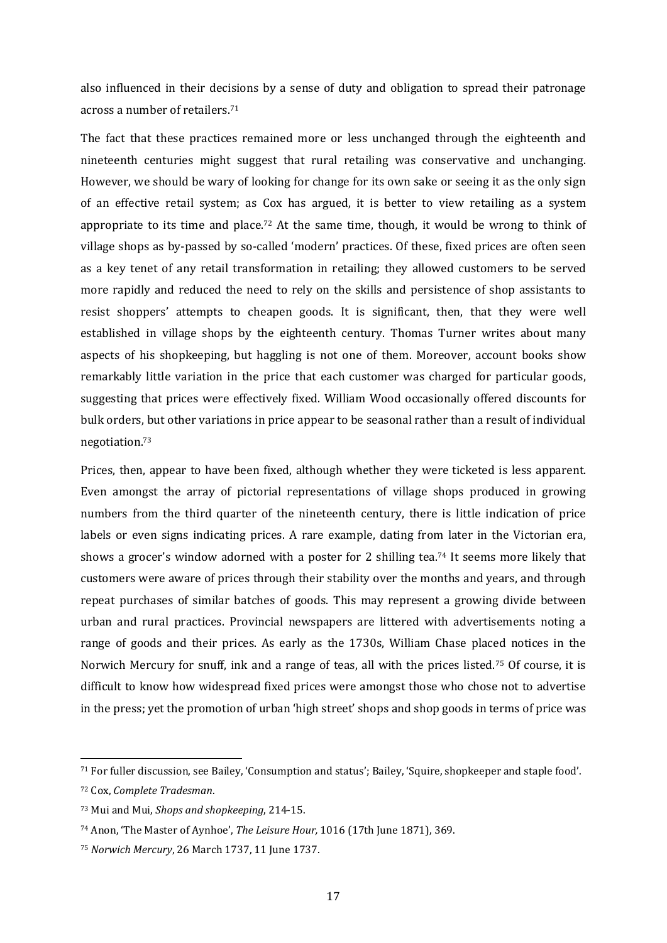also influenced in their decisions by a sense of duty and obligation to spread their patronage across a number of retailers. 71

The fact that these practices remained more or less unchanged through the eighteenth and nineteenth centuries might suggest that rural retailing was conservative and unchanging. However, we should be wary of looking for change for its own sake or seeing it as the only sign of an effective retail system; as Cox has argued, it is better to view retailing as a system appropriate to its time and place.<sup>72</sup> At the same time, though, it would be wrong to think of village shops as by-passed by so-called 'modern' practices. Of these, fixed prices are often seen as a key tenet of any retail transformation in retailing; they allowed customers to be served more rapidly and reduced the need to rely on the skills and persistence of shop assistants to resist shoppers' attempts to cheapen goods. It is significant, then, that they were well established in village shops by the eighteenth century. Thomas Turner writes about many aspects of his shopkeeping, but haggling is not one of them. Moreover, account books show remarkably little variation in the price that each customer was charged for particular goods, suggesting that prices were effectively fixed. William Wood occasionally offered discounts for bulk orders, but other variations in price appear to be seasonal rather than a result of individual negotiation. 73

Prices, then, appear to have been fixed, although whether they were ticketed is less apparent. Even amongst the array of pictorial representations of village shops produced in growing numbers from the third quarter of the nineteenth century, there is little indication of price labels or even signs indicating prices. A rare example, dating from later in the Victorian era, shows a grocer's window adorned with a poster for 2 shilling tea.<sup>74</sup> It seems more likely that customers were aware of prices through their stability over the months and years, and through repeat purchases of similar batches of goods. This may represent a growing divide between urban and rural practices. Provincial newspapers are littered with advertisements noting a range of goods and their prices. As early as the 1730s, William Chase placed notices in the Norwich Mercury for snuff, ink and a range of teas, all with the prices listed.<sup>75</sup> Of course, it is difficult to know how widespread fixed prices were amongst those who chose not to advertise in the press; yet the promotion of urban 'high street' shops and shop goods in terms of price was

<sup>71</sup> For fuller discussion, see Bailey, 'Consumption and status'; Bailey, 'Squire, shopkeeper and staple food'.

<sup>72</sup> Cox, *Complete Tradesman*.

<sup>73</sup> Mui and Mui, *Shops and shopkeeping*, 214-15.

<sup>74</sup> Anon, 'The Master of Aynhoe', *The Leisure Hour,* 1016 (17th June 1871), 369.

<sup>75</sup> *Norwich Mercury*, 26 March 1737, 11 June 1737.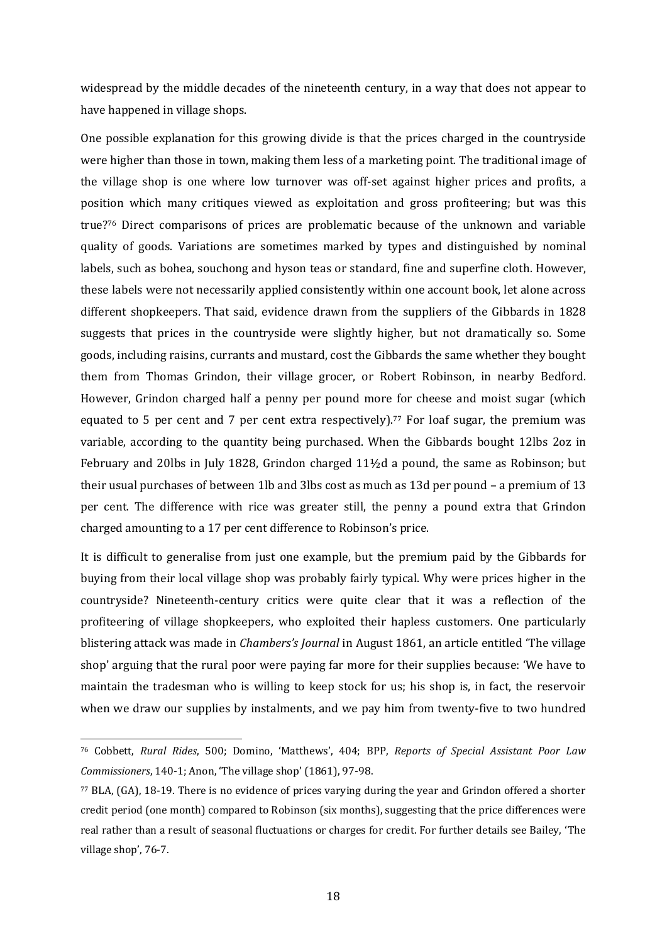widespread by the middle decades of the nineteenth century, in a way that does not appear to have happened in village shops.

One possible explanation for this growing divide is that the prices charged in the countryside were higher than those in town, making them less of a marketing point. The traditional image of the village shop is one where low turnover was off-set against higher prices and profits, a position which many critiques viewed as exploitation and gross profiteering; but was this true?<sup>76</sup> Direct comparisons of prices are problematic because of the unknown and variable quality of goods. Variations are sometimes marked by types and distinguished by nominal labels, such as bohea, souchong and hyson teas or standard, fine and superfine cloth. However, these labels were not necessarily applied consistently within one account book, let alone across different shopkeepers. That said, evidence drawn from the suppliers of the Gibbards in 1828 suggests that prices in the countryside were slightly higher, but not dramatically so. Some goods, including raisins, currants and mustard, cost the Gibbards the same whether they bought them from Thomas Grindon, their village grocer, or Robert Robinson, in nearby Bedford. However, Grindon charged half a penny per pound more for cheese and moist sugar (which equated to 5 per cent and 7 per cent extra respectively). <sup>77</sup> For loaf sugar, the premium was variable, according to the quantity being purchased. When the Gibbards bought 12lbs 2oz in February and 20lbs in July 1828, Grindon charged 11½d a pound, the same as Robinson; but their usual purchases of between 1lb and 3lbs cost as much as 13d per pound – a premium of 13 per cent. The difference with rice was greater still, the penny a pound extra that Grindon charged amounting to a 17 per cent difference to Robinson's price.

It is difficult to generalise from just one example, but the premium paid by the Gibbards for buying from their local village shop was probably fairly typical. Why were prices higher in the countryside? Nineteenth-century critics were quite clear that it was a reflection of the profiteering of village shopkeepers, who exploited their hapless customers. One particularly blistering attack was made in *Chambers's Journal* in August 1861, an article entitled 'The village shop' arguing that the rural poor were paying far more for their supplies because: 'We have to maintain the tradesman who is willing to keep stock for us; his shop is, in fact, the reservoir when we draw our supplies by instalments, and we pay him from twenty-five to two hundred

<sup>76</sup> Cobbett, *Rural Rides*, 500; Domino, 'Matthews', 404; BPP, *Reports of Special Assistant Poor Law Commissioners*, 140-1; Anon, 'The village shop' (1861), 97-98.

<sup>77</sup> BLA, (GA), 18-19. There is no evidence of prices varying during the year and Grindon offered a shorter credit period (one month) compared to Robinson (six months), suggesting that the price differences were real rather than a result of seasonal fluctuations or charges for credit. For further details see Bailey, 'The village shop', 76-7.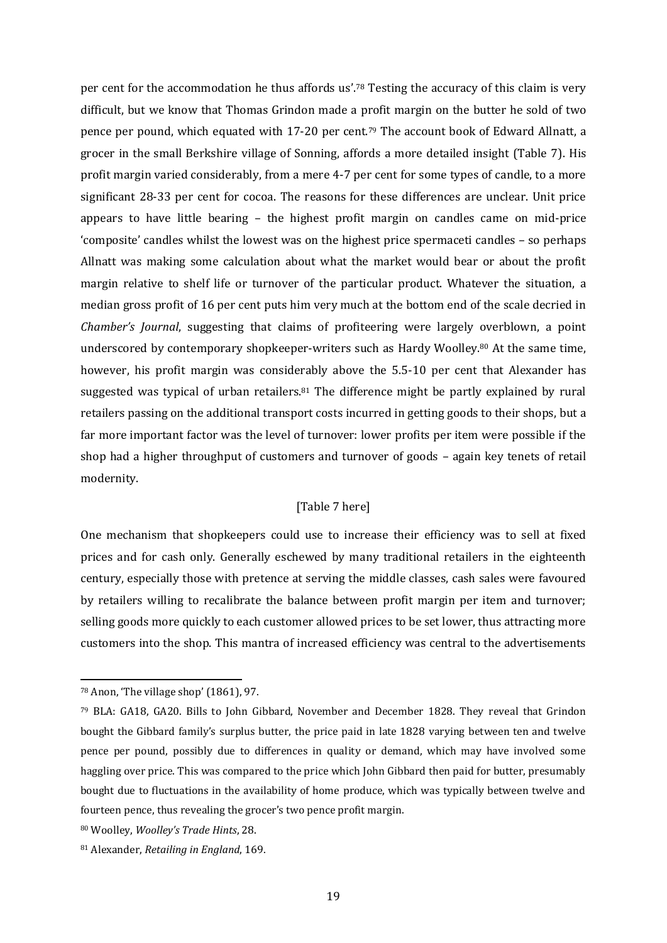per cent for the accommodation he thus affords us'.<sup>78</sup> Testing the accuracy of this claim is very difficult, but we know that Thomas Grindon made a profit margin on the butter he sold of two pence per pound, which equated with 17-20 per cent.<sup>79</sup> The account book of Edward Allnatt, a grocer in the small Berkshire village of Sonning, affords a more detailed insight (Table 7). His profit margin varied considerably, from a mere 4-7 per cent for some types of candle, to a more significant 28-33 per cent for cocoa. The reasons for these differences are unclear. Unit price appears to have little bearing – the highest profit margin on candles came on mid-price 'composite' candles whilst the lowest was on the highest price spermaceti candles – so perhaps Allnatt was making some calculation about what the market would bear or about the profit margin relative to shelf life or turnover of the particular product. Whatever the situation, a median gross profit of 16 per cent puts him very much at the bottom end of the scale decried in *Chamber's Journal*, suggesting that claims of profiteering were largely overblown, a point underscored by contemporary shopkeeper-writers such as Hardy Woolley.<sup>80</sup> At the same time, however, his profit margin was considerably above the 5.5-10 per cent that Alexander has suggested was typical of urban retailers. $81$  The difference might be partly explained by rural retailers passing on the additional transport costs incurred in getting goods to their shops, but a far more important factor was the level of turnover: lower profits per item were possible if the shop had a higher throughput of customers and turnover of goods – again key tenets of retail modernity.

## [Table 7 here]

One mechanism that shopkeepers could use to increase their efficiency was to sell at fixed prices and for cash only. Generally eschewed by many traditional retailers in the eighteenth century, especially those with pretence at serving the middle classes, cash sales were favoured by retailers willing to recalibrate the balance between profit margin per item and turnover; selling goods more quickly to each customer allowed prices to be set lower, thus attracting more customers into the shop. This mantra of increased efficiency was central to the advertisements

<sup>78</sup> Anon, 'The village shop' (1861), 97.

<sup>79</sup> BLA: GA18, GA20. Bills to John Gibbard, November and December 1828. They reveal that Grindon bought the Gibbard family's surplus butter, the price paid in late 1828 varying between ten and twelve pence per pound, possibly due to differences in quality or demand, which may have involved some haggling over price. This was compared to the price which John Gibbard then paid for butter, presumably bought due to fluctuations in the availability of home produce, which was typically between twelve and fourteen pence, thus revealing the grocer's two pence profit margin.

<sup>80</sup> Woolley, *Woolley's Trade Hints*, 28.

<sup>81</sup> Alexander, *Retailing in England*, 169.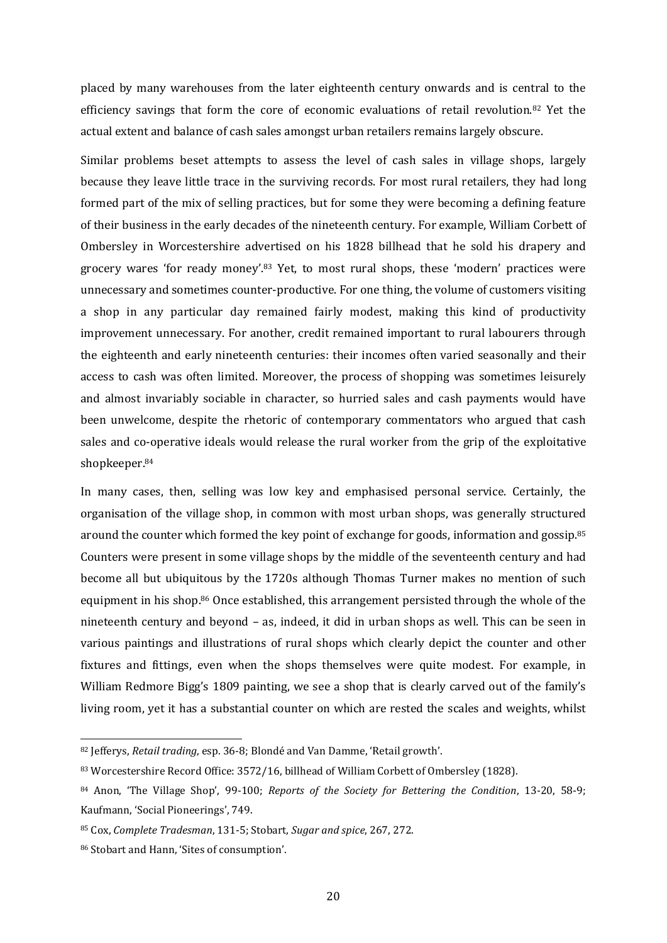placed by many warehouses from the later eighteenth century onwards and is central to the efficiency savings that form the core of economic evaluations of retail revolution.<sup>82</sup> Yet the actual extent and balance of cash sales amongst urban retailers remains largely obscure.

Similar problems beset attempts to assess the level of cash sales in village shops, largely because they leave little trace in the surviving records. For most rural retailers, they had long formed part of the mix of selling practices, but for some they were becoming a defining feature of their business in the early decades of the nineteenth century. For example, William Corbett of Ombersley in Worcestershire advertised on his 1828 billhead that he sold his drapery and grocery wares 'for ready money'.<sup>83</sup> Yet, to most rural shops, these 'modern' practices were unnecessary and sometimes counter-productive. For one thing, the volume of customers visiting a shop in any particular day remained fairly modest, making this kind of productivity improvement unnecessary. For another, credit remained important to rural labourers through the eighteenth and early nineteenth centuries: their incomes often varied seasonally and their access to cash was often limited. Moreover, the process of shopping was sometimes leisurely and almost invariably sociable in character, so hurried sales and cash payments would have been unwelcome, despite the rhetoric of contemporary commentators who argued that cash sales and co-operative ideals would release the rural worker from the grip of the exploitative shopkeeper.<sup>84</sup>

In many cases, then, selling was low key and emphasised personal service. Certainly, the organisation of the village shop, in common with most urban shops, was generally structured around the counter which formed the key point of exchange for goods, information and gossip.<sup>85</sup> Counters were present in some village shops by the middle of the seventeenth century and had become all but ubiquitous by the 1720s although Thomas Turner makes no mention of such equipment in his shop. <sup>86</sup> Once established, this arrangement persisted through the whole of the nineteenth century and beyond – as, indeed, it did in urban shops as well. This can be seen in various paintings and illustrations of rural shops which clearly depict the counter and other fixtures and fittings, even when the shops themselves were quite modest. For example, in William Redmore Bigg's 1809 painting, we see a shop that is clearly carved out of the family's living room, yet it has a substantial counter on which are rested the scales and weights, whilst

<sup>82</sup> Jefferys, *Retail trading*, esp. 36-8; Blondé and Van Damme, 'Retail growth'.

<sup>83</sup> Worcestershire Record Office: 3572/16, billhead of William Corbett of Ombersley (1828).

<sup>84</sup> Anon, 'The Village Shop', 99-100; *Reports of the Society for Bettering the Condition*, 13-20, 58-9; Kaufmann, 'Social Pioneerings', 749.

<sup>85</sup> Cox, *Complete Tradesman*, 131-5; Stobart, *Sugar and spice*, 267, 272.

<sup>86</sup> Stobart and Hann, 'Sites of consumption'.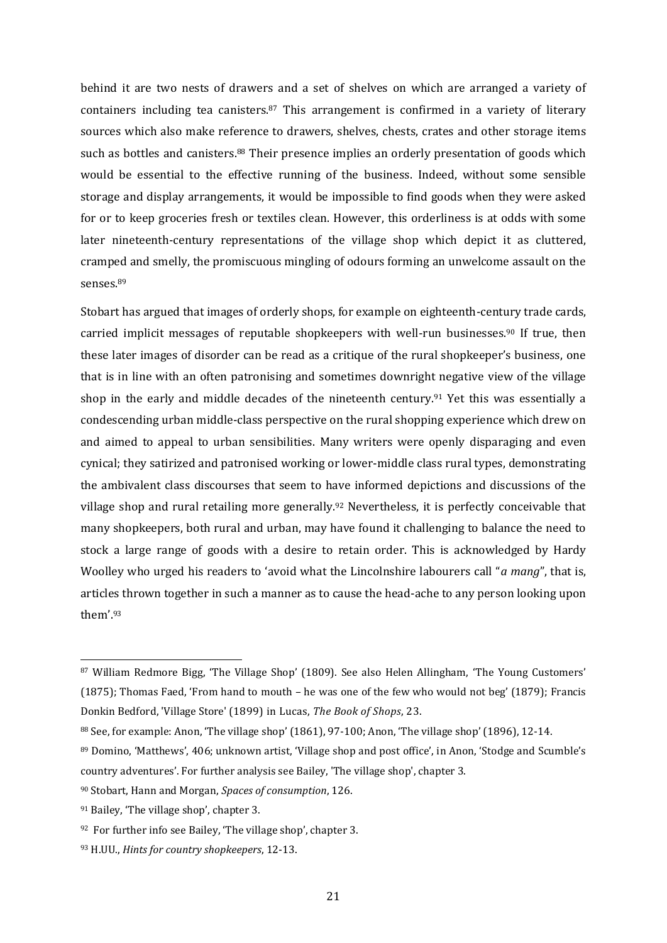behind it are two nests of drawers and a set of shelves on which are arranged a variety of containers including tea canisters.<sup>87</sup> This arrangement is confirmed in a variety of literary sources which also make reference to drawers, shelves, chests, crates and other storage items such as bottles and canisters.<sup>88</sup> Their presence implies an orderly presentation of goods which would be essential to the effective running of the business. Indeed, without some sensible storage and display arrangements, it would be impossible to find goods when they were asked for or to keep groceries fresh or textiles clean. However, this orderliness is at odds with some later nineteenth-century representations of the village shop which depict it as cluttered, cramped and smelly, the promiscuous mingling of odours forming an unwelcome assault on the senses.<sup>89</sup>

Stobart has argued that images of orderly shops, for example on eighteenth-century trade cards, carried implicit messages of reputable shopkeepers with well-run businesses.<sup>90</sup> If true, then these later images of disorder can be read as a critique of the rural shopkeeper's business, one that is in line with an often patronising and sometimes downright negative view of the village shop in the early and middle decades of the nineteenth century.<sup>91</sup> Yet this was essentially a condescending urban middle-class perspective on the rural shopping experience which drew on and aimed to appeal to urban sensibilities. Many writers were openly disparaging and even cynical; they satirized and patronised working or lower-middle class rural types, demonstrating the ambivalent class discourses that seem to have informed depictions and discussions of the village shop and rural retailing more generally.<sup>92</sup> Nevertheless, it is perfectly conceivable that many shopkeepers, both rural and urban, may have found it challenging to balance the need to stock a large range of goods with a desire to retain order. This is acknowledged by Hardy Woolley who urged his readers to 'avoid what the Lincolnshire labourers call "*a mang*", that is, articles thrown together in such a manner as to cause the head-ache to any person looking upon them'.<sup>93</sup>

-

<sup>87</sup> William Redmore Bigg, 'The Village Shop' (1809). See also Helen Allingham, 'The Young Customers' (1875); Thomas Faed, 'From hand to mouth – he was one of the few who would not beg' (1879); Francis Donkin Bedford, 'Village Store' (1899) in Lucas, *The Book of Shops*, 23.

<sup>88</sup> See, for example: Anon, 'The village shop' (1861), 97-100; Anon, 'The village shop' (1896), 12-14.

<sup>89</sup> Domino, 'Matthews', 406; unknown artist, 'Village shop and post office', in Anon, 'Stodge and Scumble's country adventures'. For further analysis see Bailey, 'The village shop', chapter 3.

<sup>90</sup> Stobart, Hann and Morgan, *Spaces of consumption*, 126.

<sup>91</sup> Bailey, 'The village shop', chapter 3.

<sup>92</sup> For further info see Bailey, 'The village shop', chapter 3.

<sup>93</sup> H.UU., *Hints for country shopkeepers*, 12-13.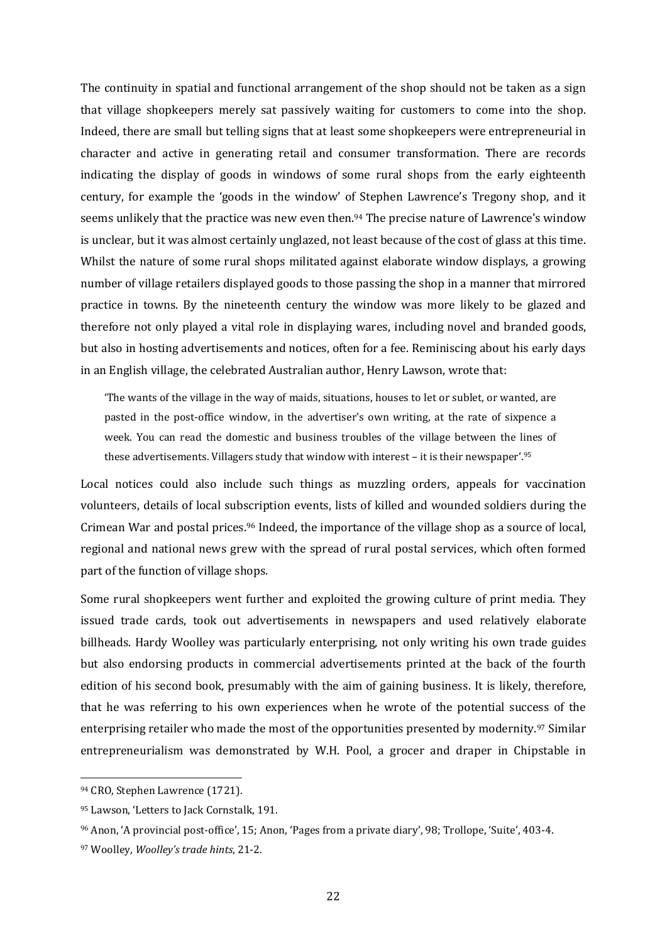The continuity in spatial and functional arrangement of the shop should not be taken as a sign that village shopkeepers merely sat passively waiting for customers to come into the shop. Indeed, there are small but telling signs that at least some shopkeepers were entrepreneurial in character and active in generating retail and consumer transformation. There are records indicating the display of goods in windows of some rural shops from the early eighteenth century, for example the 'goods in the window' of Stephen Lawrence's Tregony shop, and it seems unlikely that the practice was new even then.<sup>94</sup> The precise nature of Lawrence's window is unclear, but it was almost certainly unglazed, not least because of the cost of glass at this time. Whilst the nature of some rural shops militated against elaborate window displays, a growing number of village retailers displayed goods to those passing the shop in a manner that mirrored practice in towns. By the nineteenth century the window was more likely to be glazed and therefore not only played a vital role in displaying wares, including novel and branded goods, but also in hosting advertisements and notices, often for a fee. Reminiscing about his early days in an English village, the celebrated Australian author, Henry Lawson, wrote that:

'The wants of the village in the way of maids, situations, houses to let or sublet, or wanted, are pasted in the post-office window, in the advertiser's own writing, at the rate of sixpence a week. You can read the domestic and business troubles of the village between the lines of these advertisements. Villagers study that window with interest – it is their newspaper'.<sup>95</sup>

Local notices could also include such things as muzzling orders, appeals for vaccination volunteers, details of local subscription events, lists of killed and wounded soldiers during the Crimean War and postal prices. <sup>96</sup> Indeed, the importance of the village shop as a source of local, regional and national news grew with the spread of rural postal services, which often formed part of the function of village shops.

Some rural shopkeepers went further and exploited the growing culture of print media. They issued trade cards, took out advertisements in newspapers and used relatively elaborate billheads. Hardy Woolley was particularly enterprising, not only writing his own trade guides but also endorsing products in commercial advertisements printed at the back of the fourth edition of his second book, presumably with the aim of gaining business. It is likely, therefore, that he was referring to his own experiences when he wrote of the potential success of the enterprising retailer who made the most of the opportunities presented by modernity.<sup>97</sup> Similar entrepreneurialism was demonstrated by W.H. Pool, a grocer and draper in Chipstable in

<sup>94</sup> CRO, Stephen Lawrence (1721).

<sup>95</sup> Lawson, 'Letters to Jack Cornstalk, 191.

<sup>96</sup> Anon, 'A provincial post-office', 15; Anon, 'Pages from a private diary', 98; Trollope, 'Suite', 403-4.

<sup>97</sup> Woolley, *Woolley's trade hints*, 21-2.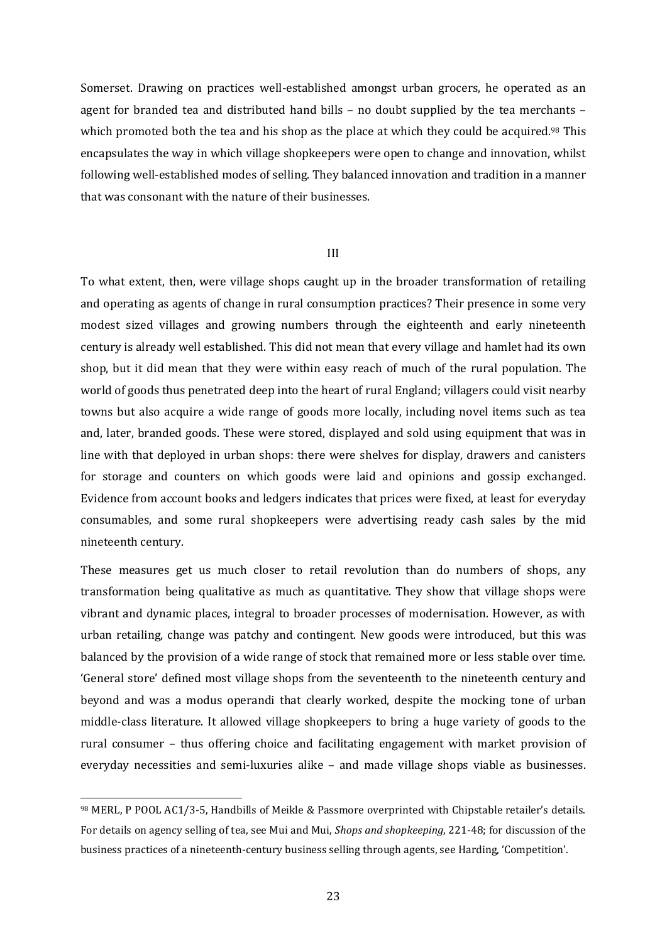Somerset. Drawing on practices well-established amongst urban grocers, he operated as an agent for branded tea and distributed hand bills – no doubt supplied by the tea merchants – which promoted both the tea and his shop as the place at which they could be acquired.<sup>98</sup> This encapsulates the way in which village shopkeepers were open to change and innovation, whilst following well-established modes of selling. They balanced innovation and tradition in a manner that was consonant with the nature of their businesses.

## III

To what extent, then, were village shops caught up in the broader transformation of retailing and operating as agents of change in rural consumption practices? Their presence in some very modest sized villages and growing numbers through the eighteenth and early nineteenth century is already well established. This did not mean that every village and hamlet had its own shop, but it did mean that they were within easy reach of much of the rural population. The world of goods thus penetrated deep into the heart of rural England; villagers could visit nearby towns but also acquire a wide range of goods more locally, including novel items such as tea and, later, branded goods. These were stored, displayed and sold using equipment that was in line with that deployed in urban shops: there were shelves for display, drawers and canisters for storage and counters on which goods were laid and opinions and gossip exchanged. Evidence from account books and ledgers indicates that prices were fixed, at least for everyday consumables, and some rural shopkeepers were advertising ready cash sales by the mid nineteenth century.

These measures get us much closer to retail revolution than do numbers of shops, any transformation being qualitative as much as quantitative. They show that village shops were vibrant and dynamic places, integral to broader processes of modernisation. However, as with urban retailing, change was patchy and contingent. New goods were introduced, but this was balanced by the provision of a wide range of stock that remained more or less stable over time. 'General store' defined most village shops from the seventeenth to the nineteenth century and beyond and was a modus operandi that clearly worked, despite the mocking tone of urban middle-class literature. It allowed village shopkeepers to bring a huge variety of goods to the rural consumer – thus offering choice and facilitating engagement with market provision of everyday necessities and semi-luxuries alike – and made village shops viable as businesses.

<sup>98</sup> MERL, P POOL AC1/3-5, Handbills of Meikle & Passmore overprinted with Chipstable retailer's details. For details on agency selling of tea, see Mui and Mui, *Shops and shopkeeping*, 221-48; for discussion of the business practices of a nineteenth-century business selling through agents, see Harding, 'Competition'.